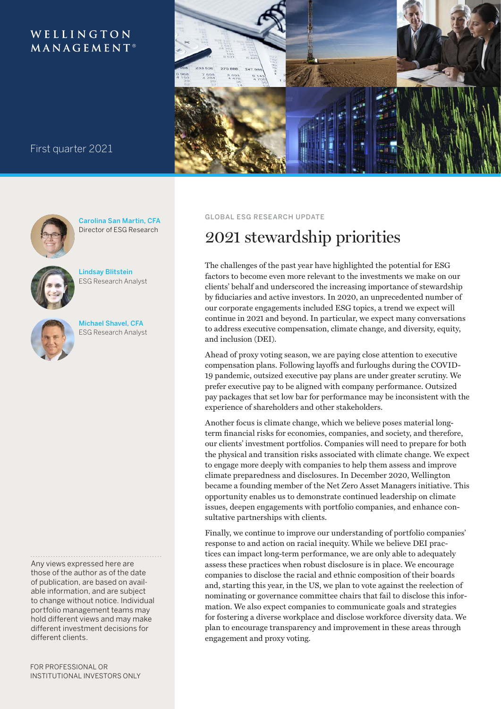# WELLINGTON  $M$  A N A G E M E N T<sup>®</sup>



# First quarter 2021



Carolina San Martin, CFA Director of ESG Research



Lindsay Blitstein ESG Research Analyst



Michael Shavel, CFA ESG Research Analyst

Any views expressed here are those of the author as of the date of publication, are based on available information, and are subject to change without notice. Individual portfolio management teams may hold different views and may make different investment decisions for different clients.

## GLOBAL ESG RESEARCH UPDATE

# 2021 stewardship priorities

The challenges of the past year have highlighted the potential for ESG factors to become even more relevant to the investments we make on our clients' behalf and underscored the increasing importance of stewardship by fiduciaries and active investors. In 2020, an unprecedented number of our corporate engagements included ESG topics, a trend we expect will continue in 2021 and beyond. In particular, we expect many conversations to address executive compensation, climate change, and diversity, equity, and inclusion (DEI).

Ahead of proxy voting season, we are paying close attention to executive compensation plans. Following layoffs and furloughs during the COVID-19 pandemic, outsized executive pay plans are under greater scrutiny. We prefer executive pay to be aligned with company performance. Outsized pay packages that set low bar for performance may be inconsistent with the experience of shareholders and other stakeholders.

Another focus is climate change, which we believe poses material longterm financial risks for economies, companies, and society, and therefore, our clients' investment portfolios. Companies will need to prepare for both the physical and transition risks associated with climate change. We expect to engage more deeply with companies to help them assess and improve climate preparedness and disclosures. In December 2020, Wellington became a founding member of the Net Zero Asset Managers initiative. This opportunity enables us to demonstrate continued leadership on climate issues, deepen engagements with portfolio companies, and enhance consultative partnerships with clients.

Finally, we continue to improve our understanding of portfolio companies' response to and action on racial inequity. While we believe DEI practices can impact long-term performance, we are only able to adequately assess these practices when robust disclosure is in place. We encourage companies to disclose the racial and ethnic composition of their boards and, starting this year, in the US, we plan to vote against the reelection of nominating or governance committee chairs that fail to disclose this information. We also expect companies to communicate goals and strategies for fostering a diverse workplace and disclose workforce diversity data. We plan to encourage transparency and improvement in these areas through engagement and proxy voting.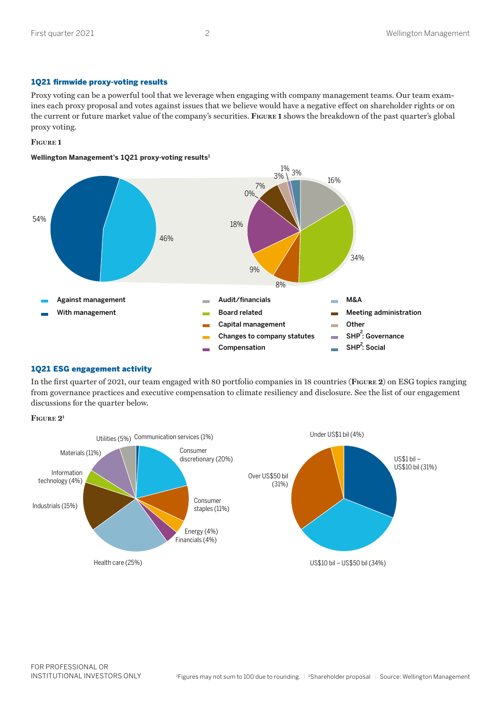# 1Q21 firmwide proxy-voting results

Proxy voting can be a powerful tool that we leverage when engaging with company management teams. Our team examines each proxy proposal and votes against issues that we believe would have a negative effect on shareholder rights or on the current or future market value of the company's securities. **Figure 1** shows the breakdown of the past quarter's global proxy voting.

# **Figure 1**

# **Wellington Management's 1Q21 proxy-voting results1**



# 1Q21 ESG engagement activity

In the first quarter of 2021, our team engaged with 80 portfolio companies in 18 countries (**Figure 2**) on ESG topics ranging from governance practices and executive compensation to climate resiliency and disclosure. See the list of our engagement discussions for the quarter below.



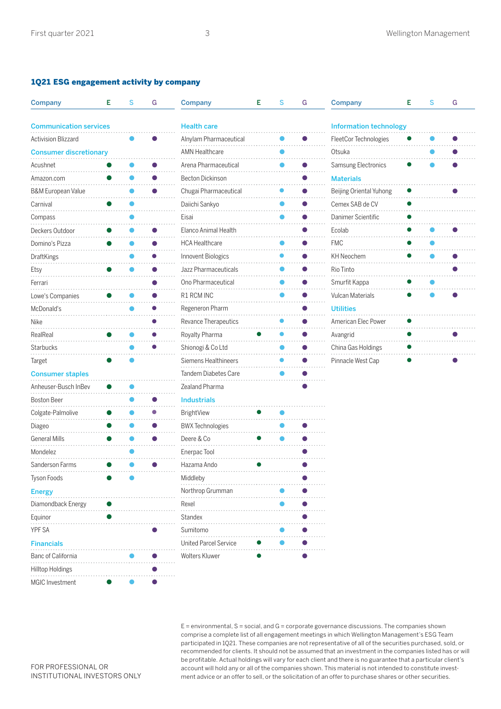# 1Q21 ESG engagement activity by company

| Company                       | Е | S | G         | <b>Company</b>          | Е | S | G         | Company                       | Е | S | G |
|-------------------------------|---|---|-----------|-------------------------|---|---|-----------|-------------------------------|---|---|---|
| <b>Communication services</b> |   |   |           | <b>Health care</b>      |   |   |           | <b>Information technology</b> |   |   |   |
| <b>Activision Blizzard</b>    |   |   |           | Alnylam Pharmaceutical  |   |   |           | FleetCor Technologies         |   |   |   |
| <b>Consumer discretionary</b> |   |   |           | <b>AMN Healthcare</b>   |   |   |           | Otsuka                        |   |   |   |
| Acushnet                      |   |   |           | Arena Pharmaceutical    |   |   |           | Samsung Electronics           |   |   |   |
| Amazon.com                    |   |   |           | <b>Becton Dickinson</b> |   |   |           | <b>Materials</b>              |   |   |   |
| <b>B&amp;M European Value</b> |   |   |           | Chugai Pharmaceutical   |   |   |           | Beijing Oriental Yuhong       |   |   |   |
| Carnival                      |   |   |           | Daiichi Sankyo          |   |   |           | Cemex SAB de CV               |   |   |   |
| Compass                       |   |   |           | Eisai                   |   |   |           | Danimer Scientific            |   |   |   |
| Deckers Outdoor               |   |   |           | Elanco Animal Health    |   |   |           | Ecolab                        |   |   |   |
| Domino's Pizza                |   |   |           | <b>HCA Healthcare</b>   |   |   | $\bullet$ | <b>FMC</b>                    |   |   |   |
| DraftKings                    |   |   |           | Innovent Biologics      |   |   |           | <b>KH Neochem</b>             |   |   |   |
| Etsy                          |   |   |           | Jazz Pharmaceuticals    |   |   |           | Rio Tinto                     |   |   |   |
| Ferrari                       |   |   |           | Ono Pharmaceutical      |   |   |           | Smurfit Kappa                 |   |   |   |
| Lowe's Companies              |   |   |           | R1 RCM INC              |   |   |           | Vulcan Materials              |   |   |   |
| McDonald's                    |   |   |           | Regeneron Pharm         |   |   |           | <b>Utilities</b>              |   |   |   |
| Nike                          |   |   |           | Revance Therapeutics    |   |   |           | American Elec Power           |   |   |   |
| RealReal                      |   |   |           | Royalty Pharma          |   |   |           | Avangrid                      |   |   |   |
| <b>Starbucks</b>              |   |   |           | Shionogi & Co Ltd       |   |   |           | China Gas Holdings            |   |   |   |
| Target                        |   |   |           | Siemens Healthineers    |   |   |           | Pinnacle West Cap             |   |   |   |
| <b>Consumer staples</b>       |   |   |           | Tandem Diabetes Care    |   |   |           |                               |   |   |   |
| Anheuser-Busch InBev          |   |   |           | Zealand Pharma          |   |   |           |                               |   |   |   |
| <b>Boston Beer</b>            |   |   |           | <b>Industrials</b>      |   |   |           |                               |   |   |   |
| Colgate-Palmolive             |   |   |           | BrightView              |   |   |           |                               |   |   |   |
| Diageo                        |   |   |           | <b>BWX Technologies</b> |   |   |           |                               |   |   |   |
| <b>General Mills</b>          |   |   |           | Deere & Co              |   |   |           |                               |   |   |   |
| Mondelez                      |   |   |           | Enerpac Tool            |   |   |           |                               |   |   |   |
| Sanderson Farms               |   |   |           | Hazama Ando             |   |   |           |                               |   |   |   |
| Tyson Foods                   |   |   |           | Middleby                |   |   |           |                               |   |   |   |
| <b>Energy</b>                 |   |   |           | Northrop Grumman        |   |   |           |                               |   |   |   |
| Diamondback Energy            |   | . |           | Rexel                   |   |   |           |                               |   |   |   |
| Equinor                       |   | . |           | Standex                 |   |   |           |                               |   |   |   |
| YPF SA                        |   |   |           | Sumitomo                |   |   |           |                               |   |   |   |
| <b>Financials</b>             |   |   |           | United Parcel Service   |   |   |           |                               |   |   |   |
| Banc of California            |   |   | $\bullet$ | Wolters Kluwer          |   |   |           |                               |   |   |   |
| <b>Hilltop Holdings</b>       |   |   |           |                         |   |   |           |                               |   |   |   |
| <b>MGIC</b> Investment        |   |   |           |                         |   |   |           |                               |   |   |   |

 $E =$  environmental,  $S =$  social, and  $G =$  corporate governance discussions. The companies shown comprise a complete list of all engagement meetings in which Wellington Management's ESG Team participated in 1Q21. These companies are not representative of all of the securities purchased, sold, or recommended for clients. It should not be assumed that an investment in the companies listed has or will be profitable. Actual holdings will vary for each client and there is no guarantee that a particular client's account will hold any or all of the companies shown. This material is not intended to constitute investment advice or an offer to sell, or the solicitation of an offer to purchase shares or other securities.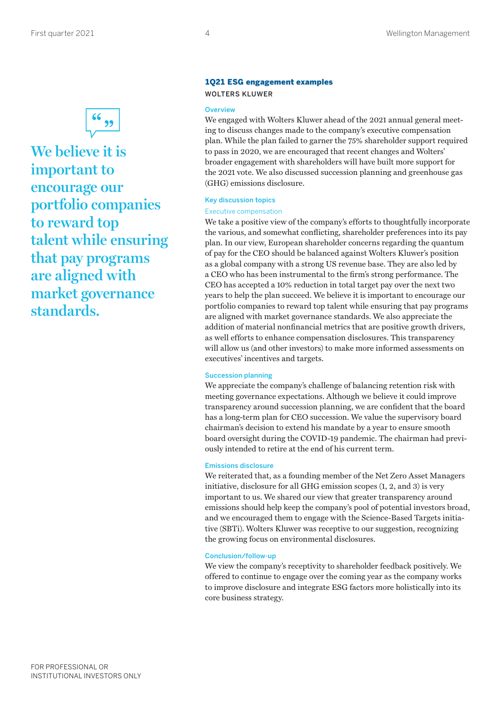

**We believe it is important to encourage our portfolio companies to reward top talent while ensuring that pay programs are aligned with market governance standards.**

# 1Q21 ESG engagement examples WOLTERS KLUWER

## **Overview**

We engaged with Wolters Kluwer ahead of the 2021 annual general meeting to discuss changes made to the company's executive compensation plan. While the plan failed to garner the 75% shareholder support required to pass in 2020, we are encouraged that recent changes and Wolters' broader engagement with shareholders will have built more support for the 2021 vote. We also discussed succession planning and greenhouse gas (GHG) emissions disclosure.

#### Key discussion topics

#### Executive compensation

We take a positive view of the company's efforts to thoughtfully incorporate the various, and somewhat conflicting, shareholder preferences into its pay plan. In our view, European shareholder concerns regarding the quantum of pay for the CEO should be balanced against Wolters Kluwer's position as a global company with a strong US revenue base. They are also led by a CEO who has been instrumental to the firm's strong performance. The CEO has accepted a 10% reduction in total target pay over the next two years to help the plan succeed. We believe it is important to encourage our portfolio companies to reward top talent while ensuring that pay programs are aligned with market governance standards. We also appreciate the addition of material nonfinancial metrics that are positive growth drivers, as well efforts to enhance compensation disclosures. This transparency will allow us (and other investors) to make more informed assessments on executives' incentives and targets.

#### Succession planning

We appreciate the company's challenge of balancing retention risk with meeting governance expectations. Although we believe it could improve transparency around succession planning, we are confident that the board has a long-term plan for CEO succession. We value the supervisory board chairman's decision to extend his mandate by a year to ensure smooth board oversight during the COVID-19 pandemic. The chairman had previously intended to retire at the end of his current term.

#### Emissions disclosure

We reiterated that, as a founding member of the Net Zero Asset Managers initiative, disclosure for all GHG emission scopes (1, 2, and 3) is very important to us. We shared our view that greater transparency around emissions should help keep the company's pool of potential investors broad, and we encouraged them to engage with the Science-Based Targets initiative (SBTi). Wolters Kluwer was receptive to our suggestion, recognizing the growing focus on environmental disclosures.

#### Conclusion/follow-up

We view the company's receptivity to shareholder feedback positively. We offered to continue to engage over the coming year as the company works to improve disclosure and integrate ESG factors more holistically into its core business strategy.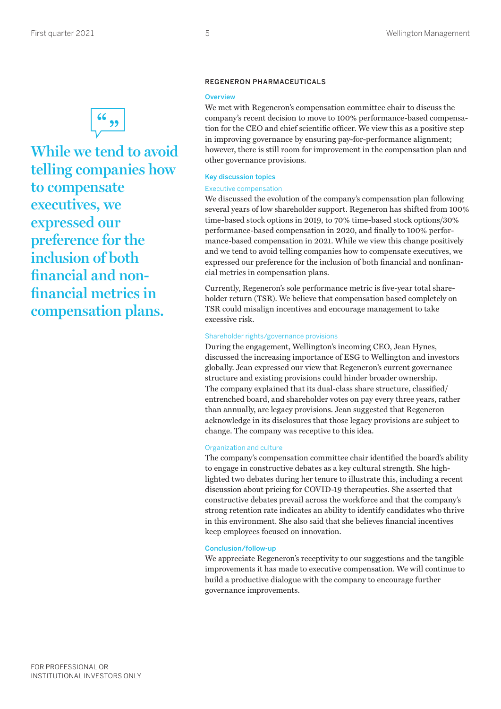

**While we tend to avoid telling companies how to compensate executives, we expressed our preference for the inclusion of both financial and nonfinancial metrics in compensation plans.**

## REGENERON PHARMACEUTICALS

#### **Overview**

We met with Regeneron's compensation committee chair to discuss the company's recent decision to move to 100% performance-based compensation for the CEO and chief scientific officer. We view this as a positive step in improving governance by ensuring pay-for-performance alignment; however, there is still room for improvement in the compensation plan and other governance provisions.

# Key discussion topics

#### Executive compensation

We discussed the evolution of the company's compensation plan following several years of low shareholder support. Regeneron has shifted from 100% time-based stock options in 2019, to 70% time-based stock options/30% performance-based compensation in 2020, and finally to 100% performance-based compensation in 2021. While we view this change positively and we tend to avoid telling companies how to compensate executives, we expressed our preference for the inclusion of both financial and nonfinancial metrics in compensation plans.

Currently, Regeneron's sole performance metric is five-year total shareholder return (TSR). We believe that compensation based completely on TSR could misalign incentives and encourage management to take excessive risk.

#### Shareholder rights/governance provisions

During the engagement, Wellington's incoming CEO, Jean Hynes, discussed the increasing importance of ESG to Wellington and investors globally. Jean expressed our view that Regeneron's current governance structure and existing provisions could hinder broader ownership. The company explained that its dual-class share structure, classified/ entrenched board, and shareholder votes on pay every three years, rather than annually, are legacy provisions. Jean suggested that Regeneron acknowledge in its disclosures that those legacy provisions are subject to change. The company was receptive to this idea.

#### Organization and culture

The company's compensation committee chair identified the board's ability to engage in constructive debates as a key cultural strength. She highlighted two debates during her tenure to illustrate this, including a recent discussion about pricing for COVID-19 therapeutics. She asserted that constructive debates prevail across the workforce and that the company's strong retention rate indicates an ability to identify candidates who thrive in this environment. She also said that she believes financial incentives keep employees focused on innovation.

# Conclusion/follow-up

We appreciate Regeneron's receptivity to our suggestions and the tangible improvements it has made to executive compensation. We will continue to build a productive dialogue with the company to encourage further governance improvements.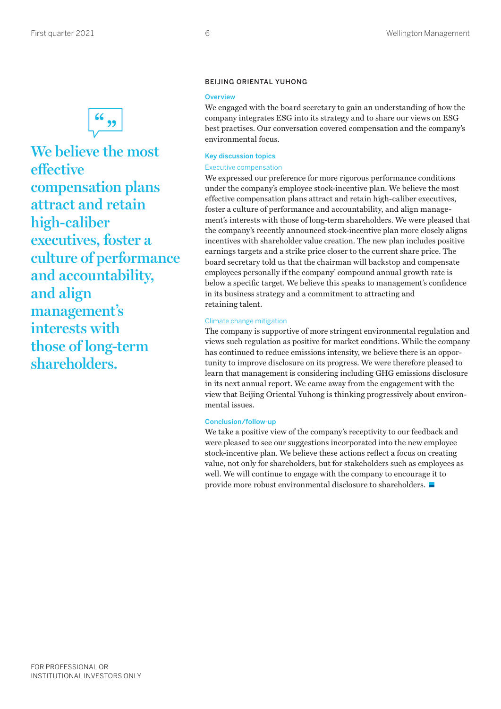

**We believe the most effective compensation plans attract and retain high-caliber executives, foster a culture of performance and accountability, and align management's interests with those of long-term shareholders.**

# BEIJING ORIENTAL YUHONG

#### **Overview**

We engaged with the board secretary to gain an understanding of how the company integrates ESG into its strategy and to share our views on ESG best practises. Our conversation covered compensation and the company's environmental focus.

#### Key discussion topics

#### Executive compensation

We expressed our preference for more rigorous performance conditions under the company's employee stock-incentive plan. We believe the most effective compensation plans attract and retain high-caliber executives, foster a culture of performance and accountability, and align management's interests with those of long-term shareholders. We were pleased that the company's recently announced stock-incentive plan more closely aligns incentives with shareholder value creation. The new plan includes positive earnings targets and a strike price closer to the current share price. The board secretary told us that the chairman will backstop and compensate employees personally if the company' compound annual growth rate is below a specific target. We believe this speaks to management's confidence in its business strategy and a commitment to attracting and retaining talent.

#### Climate change mitigation

The company is supportive of more stringent environmental regulation and views such regulation as positive for market conditions. While the company has continued to reduce emissions intensity, we believe there is an opportunity to improve disclosure on its progress. We were therefore pleased to learn that management is considering including GHG emissions disclosure in its next annual report. We came away from the engagement with the view that Beijing Oriental Yuhong is thinking progressively about environmental issues.

#### Conclusion/follow-up

We take a positive view of the company's receptivity to our feedback and were pleased to see our suggestions incorporated into the new employee stock-incentive plan. We believe these actions reflect a focus on creating value, not only for shareholders, but for stakeholders such as employees as well. We will continue to engage with the company to encourage it to provide more robust environmental disclosure to shareholders.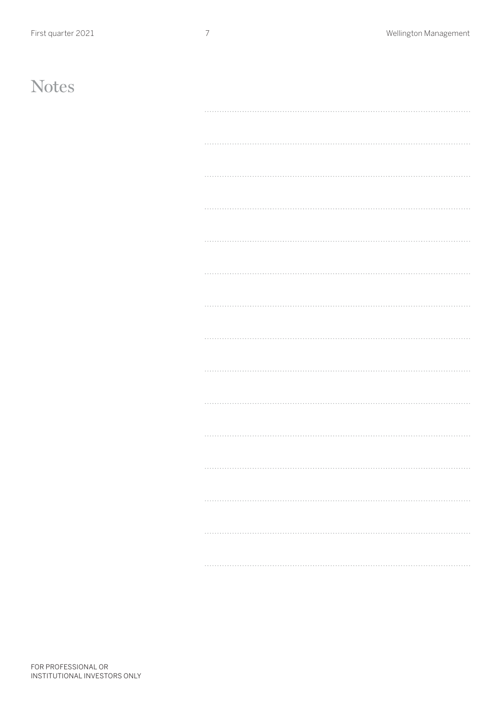# **Notes**

| . |
|---|
| . |
|   |